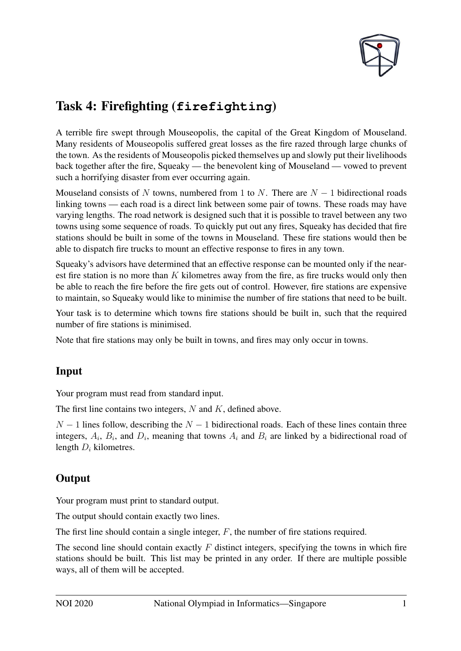

# Task 4: Firefighting (**firefighting**)

A terrible fire swept through Mouseopolis, the capital of the Great Kingdom of Mouseland. Many residents of Mouseopolis suffered great losses as the fire razed through large chunks of the town. As the residents of Mouseopolis picked themselves up and slowly put their livelihoods back together after the fire, Squeaky — the benevolent king of Mouseland — vowed to prevent such a horrifying disaster from ever occurring again.

Mouseland consists of N towns, numbered from 1 to N. There are  $N - 1$  bidirectional roads linking towns — each road is a direct link between some pair of towns. These roads may have varying lengths. The road network is designed such that it is possible to travel between any two towns using some sequence of roads. To quickly put out any fires, Squeaky has decided that fire stations should be built in some of the towns in Mouseland. These fire stations would then be able to dispatch fire trucks to mount an effective response to fires in any town.

Squeaky's advisors have determined that an effective response can be mounted only if the nearest fire station is no more than  $K$  kilometres away from the fire, as fire trucks would only then be able to reach the fire before the fire gets out of control. However, fire stations are expensive to maintain, so Squeaky would like to minimise the number of fire stations that need to be built.

Your task is to determine which towns fire stations should be built in, such that the required number of fire stations is minimised.

Note that fire stations may only be built in towns, and fires may only occur in towns.

## Input

Your program must read from standard input.

The first line contains two integers,  $N$  and  $K$ , defined above.

 $N-1$  lines follow, describing the  $N-1$  bidirectional roads. Each of these lines contain three integers,  $A_i$ ,  $B_i$ , and  $D_i$ , meaning that towns  $A_i$  and  $B_i$  are linked by a bidirectional road of length  $D_i$  kilometres.

# **Output**

Your program must print to standard output.

The output should contain exactly two lines.

The first line should contain a single integer, F, the number of fire stations required.

The second line should contain exactly  $F$  distinct integers, specifying the towns in which fire stations should be built. This list may be printed in any order. If there are multiple possible ways, all of them will be accepted.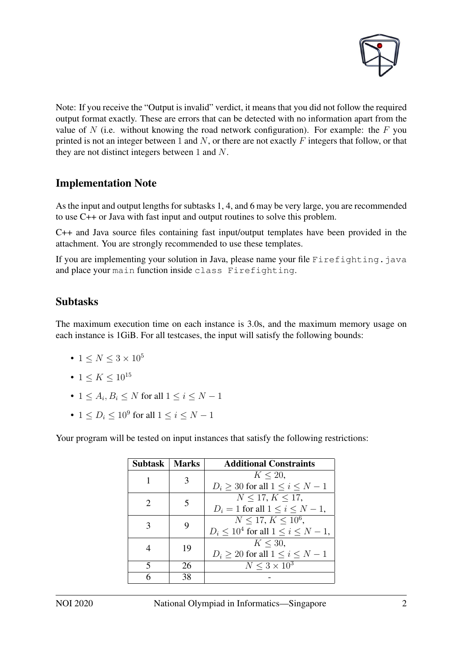

Note: If you receive the "Output is invalid" verdict, it means that you did not follow the required output format exactly. These are errors that can be detected with no information apart from the value of  $N$  (i.e. without knowing the road network configuration). For example: the  $F$  you printed is not an integer between 1 and  $N$ , or there are not exactly  $F$  integers that follow, or that they are not distinct integers between 1 and N.

#### Implementation Note

As the input and output lengths for subtasks 1, 4, and 6 may be very large, you are recommended to use C++ or Java with fast input and output routines to solve this problem.

C++ and Java source files containing fast input/output templates have been provided in the attachment. You are strongly recommended to use these templates.

If you are implementing your solution in Java, please name your file Firefighting.java and place your main function inside class Firefighting.

#### Subtasks

The maximum execution time on each instance is 3.0s, and the maximum memory usage on each instance is 1GiB. For all testcases, the input will satisfy the following bounds:

- 1  $\leq N \leq 3 \times 10^5$
- 1  $\leq K \leq 10^{15}$
- $1 \leq A_i, B_i \leq N$  for all  $1 \leq i \leq N-1$
- $1 \le D_i \le 10^9$  for all  $1 \le i \le N 1$

Your program will be tested on input instances that satisfy the following restrictions:

| Subtask                     | <b>Marks</b> | <b>Additional Constraints</b>                 |
|-----------------------------|--------------|-----------------------------------------------|
|                             | 3            | $K < 20$ ,                                    |
|                             |              | $D_i > 30$ for all $1 \le i \le N-1$          |
| $\mathcal{D}_{\mathcal{L}}$ | 5            | N < 17, K < 17,                               |
|                             |              | $D_i = 1$ for all $1 \leq i \leq N-1$ ,       |
| 3                           | 9            | $\overline{N}$ < 17, $K$ < 10 <sup>6</sup> ,  |
|                             |              | $D_i \leq 10^4$ for all $1 \leq i \leq N-1$ , |
| 4                           | 19           | $K < 30$ ,                                    |
|                             |              | $D_i \geq 20$ for all $1 \leq i \leq N-1$     |
| 5                           | 26           | $N \leq 3 \times 10^3$                        |
| 6                           | 38           |                                               |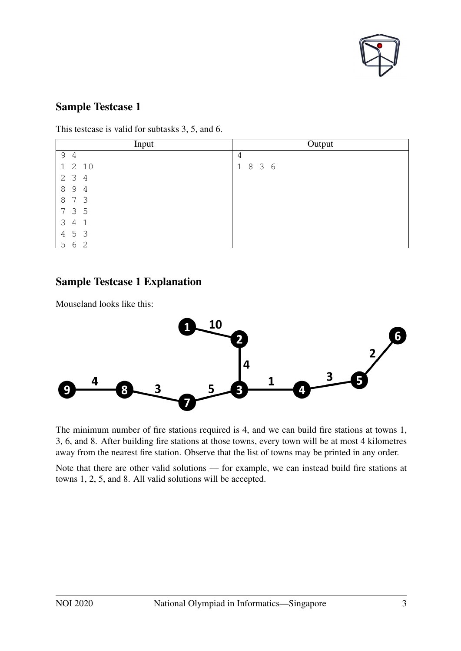

This testcase is valid for subtasks 3, 5, and 6.

| Input                            | Output  |
|----------------------------------|---------|
| 9 4                              | 4       |
| 1 2 10                           | 1 8 3 6 |
| 2 <sub>3</sub><br>$\overline{4}$ |         |
| 89<br>$\overline{4}$             |         |
| 8 7 3                            |         |
| 7 3 5                            |         |
| $3\quad 4$<br>$\mathbf{1}$       |         |
| 4 5 3                            |         |
| 6<br>. 두<br>⌒                    |         |

#### Sample Testcase 1 Explanation

Mouseland looks like this:



The minimum number of fire stations required is 4, and we can build fire stations at towns 1, 3, 6, and 8. After building fire stations at those towns, every town will be at most 4 kilometres away from the nearest fire station. Observe that the list of towns may be printed in any order.

Note that there are other valid solutions — for example, we can instead build fire stations at towns 1, 2, 5, and 8. All valid solutions will be accepted.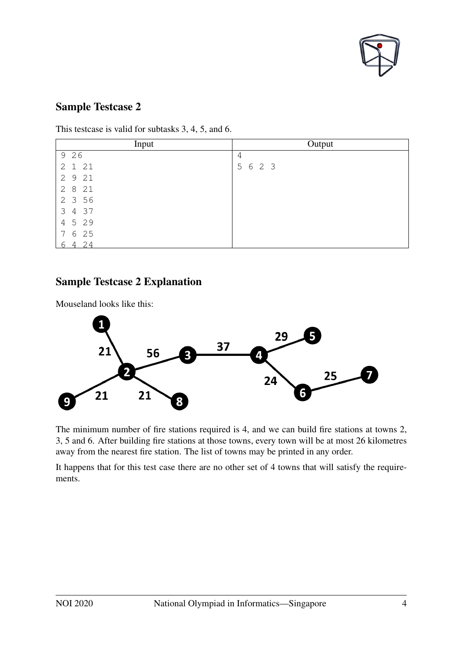

This testcase is valid for subtasks 3, 4, 5, and 6.

| Input    | Output  |
|----------|---------|
| 9 26     | 4       |
| 2 1 21   | 5 6 2 3 |
| 2 9 21   |         |
| 28<br>21 |         |
| 2 3 5 6  |         |
| 3 4 37   |         |
| 4 5 2 9  |         |
| 7 6 25   |         |
| 4, 2, 4  |         |

#### Sample Testcase 2 Explanation



The minimum number of fire stations required is 4, and we can build fire stations at towns 2, 3, 5 and 6. After building fire stations at those towns, every town will be at most 26 kilometres away from the nearest fire station. The list of towns may be printed in any order.

It happens that for this test case there are no other set of 4 towns that will satisfy the requirements.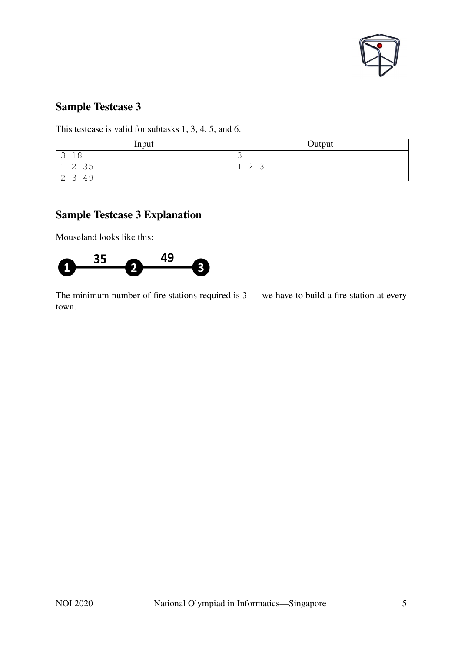

This testcase is valid for subtasks 1, 3, 4, 5, and 6.

| Input              | Output                             |
|--------------------|------------------------------------|
| 18<br>$\mathbf{C}$ |                                    |
| 1235               | $\sim$<br>$\mathbf{r}$<br>∽<br>エムコ |
|                    |                                    |

## Sample Testcase 3 Explanation

Mouseland looks like this:



The minimum number of fire stations required is  $3$  — we have to build a fire station at every town.